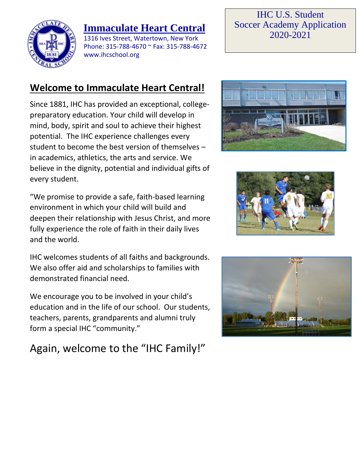

## **Immaculate Heart Central**

1316 Ives Street, Watertown, New York Phone: 315-788-4670 ~ Fax: 315-788-4672 www.ihcschool.org

#### IHC U.S. Student Soccer Academy Application 2020-2021

## **Welcome to Immaculate Heart Central!**

Since 1881, IHC has provided an exceptional, collegepreparatory education. Your child will develop in mind, body, spirit and soul to achieve their highest potential. The IHC experience challenges every student to become the best version of themselves – in academics, athletics, the arts and service. We believe in the dignity, potential and individual gifts of every student.

"We promise to provide a safe, faith-based learning environment in which your child will build and deepen their relationship with Jesus Christ, and more fully experience the role of faith in their daily lives and the world.

IHC welcomes students of all faiths and backgrounds. We also offer aid and scholarships to families with demonstrated financial need.

We encourage you to be involved in your child's education and in the life of our school. Our students, teachers, parents, grandparents and alumni truly form a special IHC "community."

# Again, welcome to the "IHC Family!"





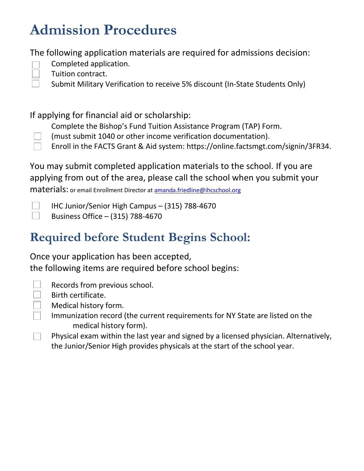# **Admission Procedures**

The following application materials are required for admissions decision:

- 
- Completed application.
- Tuition contract.
- Submit Military Verification to receive 5% discount (In-State Students Only)

If applying for financial aid or scholarship:

Complete the Bishop's Fund Tuition Assistance Program (TAP) Form.

- (must submit 1040 or other income verification documentation).
- Enroll in the FACTS Grant & Aid system: [https://online.factsmgt.com/signin/3FR34.](https://online.factsmgt.com/signin/3FR34)

You may submit completed application materials to the school. If you are applying from out of the area, please call the school when you submit your

materials: or email Enrollment Director a[t amanda.friedline@ihcschool.org](mailto:amanda.friedline@ihcschool.org)

IHC Junior/Senior High Campus – (315) 788-4670 Business Office – (315) 788-4670

# **Required before Student Begins School:**

Once your application has been accepted, the following items are required before school begins:

 $\Box$ 

Records from previous school.

- Birth certificate.
- Medical history form.
	- Immunization record (the current requirements for NY State are listed on the medical history form).
- Physical exam within the last year and signed by a licensed physician. Alternatively, the Junior/Senior High provides physicals at the start of the school year.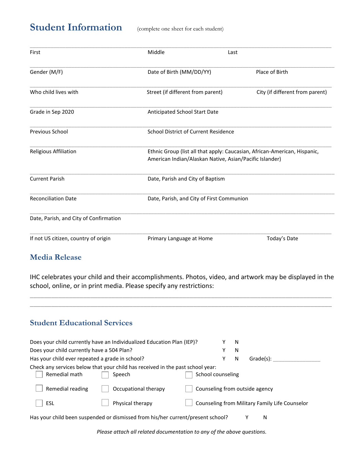#### **Student Information** (complete one sheet for each student)

| First                                  | Middle                                                  | Last                                                                      |
|----------------------------------------|---------------------------------------------------------|---------------------------------------------------------------------------|
| Gender (M/F)                           | Date of Birth (MM/DD/YY)                                | Place of Birth                                                            |
| Who child lives with                   | Street (if different from parent)                       | City (if different from parent)                                           |
| Grade in Sep 2020                      | Anticipated School Start Date                           |                                                                           |
| Previous School                        | School District of Current Residence                    |                                                                           |
| Religious Affiliation                  | American Indian/Alaskan Native, Asian/Pacific Islander) | Ethnic Group (list all that apply: Caucasian, African-American, Hispanic, |
| <b>Current Parish</b>                  | Date, Parish and City of Baptism                        |                                                                           |
| <b>Reconciliation Date</b>             | Date, Parish, and City of First Communion               |                                                                           |
| Date, Parish, and City of Confirmation |                                                         |                                                                           |
| If not US citizen, country of origin   | Primary Language at Home                                | Today's Date                                                              |

#### **Media Release**

IHC celebrates your child and their accomplishments. Photos, video, and artwork may be displayed in the school, online, or in print media. Please specify any restrictions:

\_\_\_\_\_\_\_\_\_\_\_\_\_\_\_\_\_\_\_\_\_\_\_\_\_\_\_\_\_\_\_\_\_\_\_\_\_\_\_\_\_\_\_\_\_\_\_\_\_\_\_\_\_\_\_\_\_\_\_\_\_\_\_\_\_\_\_\_\_\_\_\_\_\_\_\_\_\_\_\_\_\_\_\_\_ \_\_\_\_\_\_\_\_\_\_\_\_\_\_\_\_\_\_\_\_\_\_\_\_\_\_\_\_\_\_\_\_\_\_\_\_\_\_\_\_\_\_\_\_\_\_\_\_\_\_\_\_\_\_\_\_\_\_\_\_\_\_\_\_\_\_\_\_\_\_\_\_\_\_\_\_\_\_\_\_\_\_\_\_\_

#### **Student Educational Services**

|                                                 | Does your child currently have an Individualized Education Plan (IEP)?          |                   |   | N |                                                |
|-------------------------------------------------|---------------------------------------------------------------------------------|-------------------|---|---|------------------------------------------------|
| Does your child currently have a 504 Plan?      |                                                                                 |                   | Υ | N |                                                |
| Has your child ever repeated a grade in school? |                                                                                 |                   | Υ | N | Grade(s):                                      |
|                                                 | Check any services below that your child has received in the past school year:  |                   |   |   |                                                |
| Remedial math                                   | Speech                                                                          | School counseling |   |   |                                                |
| Remedial reading                                | Occupational therapy                                                            |                   |   |   | Counseling from outside agency                 |
| ESL                                             | Physical therapy                                                                |                   |   |   | Counseling from Military Family Life Counselor |
|                                                 | Has your child been suspended or dismissed from his/her current/present school? |                   |   |   | Ν                                              |

*Please attach all related documentation to any of the above questions.*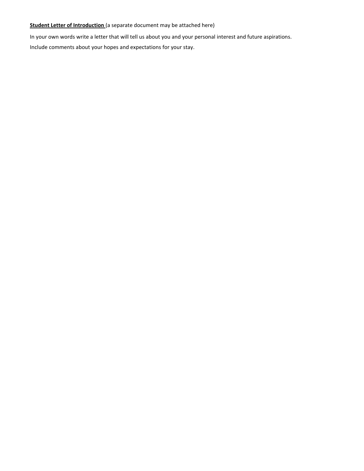#### **Student Letter of Introduction** (a separate document may be attached here)

In your own words write a letter that will tell us about you and your personal interest and future aspirations.

Include comments about your hopes and expectations for your stay.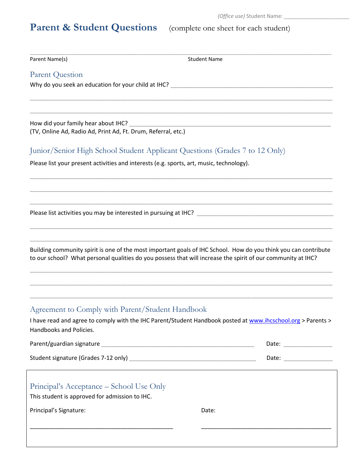# Parent & Student Questions (complete one sheet for each student)

| Parent Name(s)                                                                                                       | <b>Student Name</b>                                                                                                                                                                                                             |
|----------------------------------------------------------------------------------------------------------------------|---------------------------------------------------------------------------------------------------------------------------------------------------------------------------------------------------------------------------------|
| <b>Parent Question</b>                                                                                               |                                                                                                                                                                                                                                 |
|                                                                                                                      |                                                                                                                                                                                                                                 |
| How did your family hear about IHC?<br>(TV, Online Ad, Radio Ad, Print Ad, Ft. Drum, Referral, etc.)                 |                                                                                                                                                                                                                                 |
|                                                                                                                      | Junior/Senior High School Student Applicant Questions (Grades 7 to 12 Only)                                                                                                                                                     |
| Please list your present activities and interests (e.g. sports, art, music, technology).                             |                                                                                                                                                                                                                                 |
|                                                                                                                      |                                                                                                                                                                                                                                 |
|                                                                                                                      | Building community spirit is one of the most important goals of IHC School. How do you think you can contribute<br>to our school? What personal qualities do you possess that will increase the spirit of our community at IHC? |
| Agreement to Comply with Parent/Student Handbook<br>Handbooks and Policies.                                          | I have read and agree to comply with the IHC Parent/Student Handbook posted at www.ihcschool.org > Parents >                                                                                                                    |
|                                                                                                                      |                                                                                                                                                                                                                                 |
|                                                                                                                      | Date: _________________                                                                                                                                                                                                         |
| Principal's Acceptance – School Use Only<br>This student is approved for admission to IHC.                           |                                                                                                                                                                                                                                 |
| Principal's Signature:                                                                                               | Date:                                                                                                                                                                                                                           |
| <u> 1989 - Johann John Stein, markin fan it ferskearre fan it ferskearre fan it ferskearre fan it ferskearre fan</u> |                                                                                                                                                                                                                                 |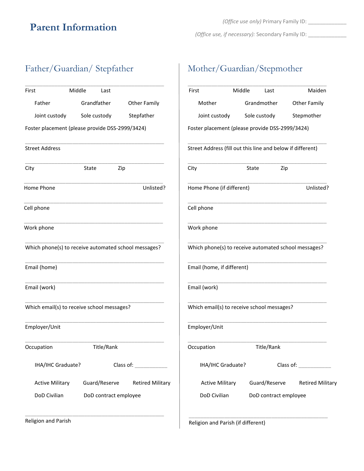## **Parent Information**

*(Office use, if necessary):* Secondary Family ID: \_\_\_\_\_\_\_\_\_\_\_\_\_

#### Father/Guardian/ Stepfather

| First                                                | Middle | Last         |                                                |  |
|------------------------------------------------------|--------|--------------|------------------------------------------------|--|
| Father                                               |        | Grandfather  | <b>Other Family</b>                            |  |
| Joint custody                                        |        | Sole custody | Stepfather                                     |  |
| Foster placement (please provide DSS-2999/3424)      |        |              |                                                |  |
| <b>Street Address</b>                                |        |              |                                                |  |
| City                                                 | State  |              | Zip                                            |  |
| Home Phone                                           |        |              | Unlisted?                                      |  |
| Cell phone                                           |        |              |                                                |  |
| Work phone                                           |        |              |                                                |  |
|                                                      |        |              |                                                |  |
| Which phone(s) to receive automated school messages? |        |              |                                                |  |
| Email (home)                                         |        |              |                                                |  |
| Email (work)                                         |        |              |                                                |  |
| Which email(s) to receive school messages?           |        |              |                                                |  |
| Employer/Unit                                        |        |              |                                                |  |
| Occupation                                           |        | Title/Rank   |                                                |  |
| IHA/IHC Graduate?                                    |        |              | Class of: _____________                        |  |
|                                                      |        |              | Active Military Guard/Reserve Retired Military |  |

Religion and Parish

#### Mother/Guardian/Stepmother

| First                                                      | Middle | Last                  | Maiden                                         |
|------------------------------------------------------------|--------|-----------------------|------------------------------------------------|
| Mother                                                     |        | Grandmother           | <b>Other Family</b>                            |
| Joint custody                                              |        | Sole custody          | Stepmother                                     |
| Foster placement (please provide DSS-2999/3424)            |        |                       |                                                |
| Street Address (fill out this line and below if different) |        |                       |                                                |
| City                                                       | State  | Zip                   |                                                |
| Home Phone (if different)                                  |        |                       | Unlisted?                                      |
| Cell phone                                                 |        |                       |                                                |
| Work phone                                                 |        |                       |                                                |
| Which phone(s) to receive automated school messages?       |        |                       |                                                |
| Email (home, if different)                                 |        |                       |                                                |
| Email (work)                                               |        |                       |                                                |
| Which email(s) to receive school messages?                 |        |                       |                                                |
| Employer/Unit                                              |        |                       |                                                |
| Occupation                                                 |        | Title/Rank            |                                                |
| IHA/IHC Graduate?                                          |        |                       | Class of:                                      |
|                                                            |        |                       | Active Military Guard/Reserve Retired Military |
| DoD Civilian                                               |        | DoD contract employee |                                                |
|                                                            |        |                       |                                                |

Religion and Parish (if different)

\_\_\_\_\_\_\_\_\_\_\_\_\_\_\_\_\_\_\_\_\_\_\_\_\_\_\_\_\_\_\_\_\_\_\_\_\_\_\_\_\_\_\_\_\_\_\_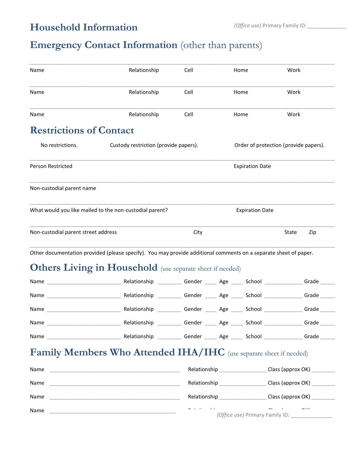#### **Household Information**

## **Emergency Contact Information** (other than parents)

| Name                                                    | Relationship                                                                                                     | Cell                   | Home                   | Work                                  |
|---------------------------------------------------------|------------------------------------------------------------------------------------------------------------------|------------------------|------------------------|---------------------------------------|
| Name                                                    | Relationship                                                                                                     | Cell                   | Home                   | Work                                  |
| Name                                                    | Relationship                                                                                                     | Cell                   | Home                   | Work                                  |
| <b>Restrictions of Contact</b>                          |                                                                                                                  |                        |                        |                                       |
| No restrictions.                                        | Custody restriction (provide papers).                                                                            |                        |                        | Order of protection (provide papers). |
| <b>Person Restricted</b>                                |                                                                                                                  | <b>Expiration Date</b> |                        |                                       |
| Non-custodial parent name                               |                                                                                                                  |                        |                        |                                       |
| What would you like mailed to the non-custodial parent? |                                                                                                                  |                        | <b>Expiration Date</b> |                                       |
| Non-custodial parent street address                     |                                                                                                                  | City                   |                        | State<br>Zip                          |
|                                                         | Other documentation provided (please specify). You may provide additional comments on a separate sheet of paper. |                        |                        |                                       |

#### **Others Living in Household** (use separate sheet if needed)

| Name | Relationship | Gender | Age | School | Grade |
|------|--------------|--------|-----|--------|-------|
| Name | Relationship | Gender | Age | School | Grade |
| Name | Relationship | Gender | Age | School | Grade |
| Name | Relationship | Gender | Age | School | Grade |
| Name | Relationship | Gender | Age | School | Grade |

#### Family Members Who Attended IHA/IHC (use separate sheet if needed)

| Name | Relationship                   | Class (approx OK)                                  |
|------|--------------------------------|----------------------------------------------------|
| Name | Relationship                   | Class (approx OK)                                  |
| Name | Relationship                   | Class (approx OK)                                  |
| Name | where the contract of the con- | $- \cdot \cdot$<br>(Office use) Primary Family ID: |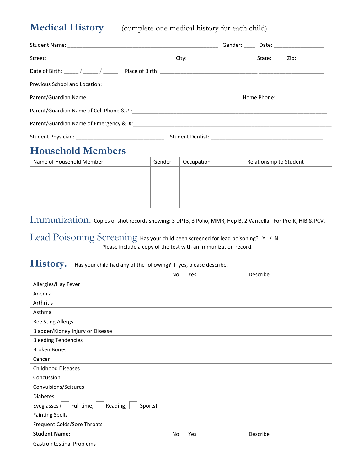**Medical History** (complete one medical history for each child)

|                                                                                           | Gender: _____ Date: ____________________ |
|-------------------------------------------------------------------------------------------|------------------------------------------|
|                                                                                           | State: _____ Zip: __________             |
|                                                                                           |                                          |
| Previous School and Location: New York School and Location: New York School and Location: |                                          |
|                                                                                           |                                          |
|                                                                                           |                                          |
|                                                                                           |                                          |
|                                                                                           |                                          |

#### **Household Members**

| Name of Household Member | Gender | Occupation | Relationship to Student |
|--------------------------|--------|------------|-------------------------|
|                          |        |            |                         |
|                          |        |            |                         |
|                          |        |            |                         |
|                          |        |            |                         |

Immunization. Copies of shot records showing: 3 DPT3, 3 Polio, MMR, Hep B, 2 Varicella. For Pre-K, HIB & PCV.

Lead Poisoning Screening. Has your child been screened for lead poisoning? Y / N Please include a copy of the test with an immunization record.

#### History. Has your child had any of the following? If yes, please describe.

|                                                   | No | Yes | Describe |
|---------------------------------------------------|----|-----|----------|
| Allergies/Hay Fever                               |    |     |          |
| Anemia                                            |    |     |          |
| Arthritis                                         |    |     |          |
| Asthma                                            |    |     |          |
| <b>Bee Sting Allergy</b>                          |    |     |          |
| Bladder/Kidney Injury or Disease                  |    |     |          |
| <b>Bleeding Tendencies</b>                        |    |     |          |
| <b>Broken Bones</b>                               |    |     |          |
| Cancer                                            |    |     |          |
| <b>Childhood Diseases</b>                         |    |     |          |
| Concussion                                        |    |     |          |
| Convulsions/Seizures                              |    |     |          |
| <b>Diabetes</b>                                   |    |     |          |
| Full time,<br>Reading,<br>Eyeglasses (<br>Sports) |    |     |          |
| <b>Fainting Spells</b>                            |    |     |          |
| Frequent Colds/Sore Throats                       |    |     |          |
| <b>Student Name:</b>                              | No | Yes | Describe |
| <b>Gastrointestinal Problems</b>                  |    |     |          |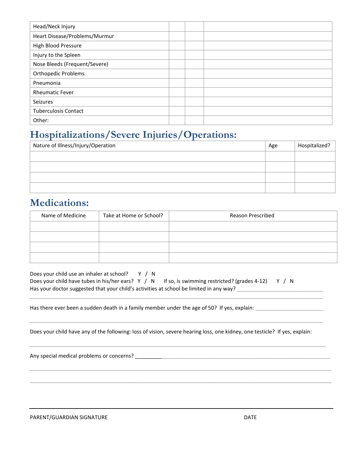| Head/Neck Injury              |  |  |
|-------------------------------|--|--|
| Heart Disease/Problems/Murmur |  |  |
| High Blood Pressure           |  |  |
| Injury to the Spleen          |  |  |
| Nose Bleeds (Frequent/Severe) |  |  |
| Orthopedic Problems           |  |  |
| Pneumonia                     |  |  |
| <b>Rheumatic Fever</b>        |  |  |
| <b>Seizures</b>               |  |  |
| <b>Tuberculosis Contact</b>   |  |  |
| Other:                        |  |  |

#### **Hospitalizations/Severe Injuries/Operations:**

| Nature of Illness/Injury/Operation | Age | Hospitalized? |
|------------------------------------|-----|---------------|
|                                    |     |               |
|                                    |     |               |
|                                    |     |               |
|                                    |     |               |

#### **Medications:**

| Name of Medicine | Take at Home or School? | <b>Reason Prescribed</b> |
|------------------|-------------------------|--------------------------|
|                  |                         |                          |
|                  |                         |                          |
|                  |                         |                          |
|                  |                         |                          |

| Does your child use an inhaler at school? Y / N                                         |  |                                                                                                  |  |
|-----------------------------------------------------------------------------------------|--|--------------------------------------------------------------------------------------------------|--|
|                                                                                         |  | Does your child have tubes in his/her ears? $Y / N$ If so, is swimming restricted? (grades 4-12) |  |
| Has your doctor suggested that your child's activities at school be limited in any way? |  |                                                                                                  |  |

Has there ever been a sudden death in a family member under the age of 50? If yes, explain: \_\_\_\_\_\_\_\_\_\_\_\_\_\_\_\_\_\_

Does your child have any of the following: loss of vision, severe hearing loss, one kidney, one testicle? If yes, explain:

\_\_\_\_\_\_\_\_\_\_\_\_\_\_\_\_\_\_\_\_\_\_\_\_\_\_\_\_\_\_\_\_\_\_\_\_\_\_\_\_\_\_\_\_\_\_\_\_\_\_\_\_\_\_\_\_\_\_\_\_\_\_\_\_\_\_\_\_\_\_\_\_\_\_\_\_\_\_\_\_\_\_\_\_\_\_\_\_\_\_\_\_\_\_\_\_\_\_\_

\_\_\_\_\_\_\_\_\_\_\_\_\_\_\_\_\_\_\_\_\_\_\_\_\_\_\_\_\_\_\_\_\_\_\_\_\_\_\_\_\_\_\_\_\_\_\_\_\_\_\_\_\_\_\_\_\_\_\_\_\_\_\_\_\_\_\_\_\_\_\_\_\_\_\_\_\_\_\_\_\_\_\_\_\_\_\_\_\_\_\_\_\_\_\_\_\_\_\_

\_\_\_\_\_\_\_\_\_\_\_\_\_\_\_\_\_\_\_\_\_\_\_\_\_\_\_\_\_\_\_\_\_\_\_\_\_\_\_\_\_\_\_\_\_\_\_\_\_\_\_\_\_\_\_\_\_\_\_\_\_\_\_\_\_\_\_\_\_\_\_\_\_\_\_\_\_\_\_\_\_\_\_\_\_\_\_\_\_\_\_\_\_\_\_\_\_\_\_\_

\_\_\_\_\_\_\_\_\_\_\_\_\_\_\_\_\_\_\_\_\_\_\_\_\_\_\_\_\_\_\_\_\_\_\_\_\_\_\_\_\_\_\_\_\_\_\_\_\_\_\_\_\_\_\_\_\_\_\_\_\_\_\_\_\_\_\_\_\_\_\_\_\_\_\_\_\_\_\_\_\_\_\_\_\_\_\_\_\_\_\_\_\_\_\_\_\_\_\_\_\_\_

\_\_\_\_\_\_\_\_\_\_\_\_\_\_\_\_\_\_\_\_\_\_\_\_\_\_\_\_\_\_\_\_\_\_\_\_\_\_\_\_\_\_\_\_\_\_\_\_\_\_\_\_\_\_\_\_\_\_\_\_\_\_\_\_\_\_\_\_\_\_\_\_\_\_\_\_\_\_\_\_\_\_\_\_\_\_\_\_\_\_\_\_\_\_\_\_\_\_\_\_\_\_

Any special medical problems or concerns? \_\_\_\_\_\_\_\_\_\_\_\_\_\_\_\_\_\_\_\_\_\_\_\_\_\_\_\_\_\_\_\_\_\_\_\_\_\_\_\_\_\_\_\_\_\_\_\_\_\_\_\_\_\_\_\_\_\_\_\_\_\_\_\_\_\_

PARENT/GUARDIAN SIGNATURE THE RESERVE OF THE RESERVE OF THE RESERVE OF THE RESERVE OF THE RESERVE OF THE RESERVE OF THE RESERVE OF THE RESERVE OF THE RESERVE OF THE RESERVE OF THE RESERVE OF THE RESERVE OF THE RESERVE OF T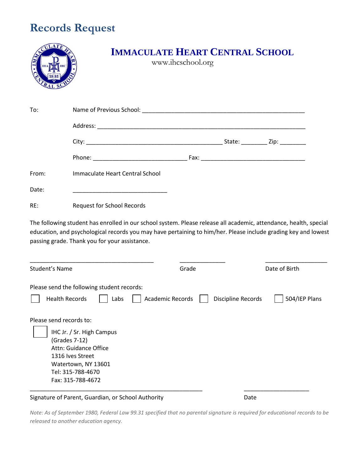# **Records Request**

|       |                                 | <b>IMMACULATE HEART CENTRAL SCHOOL</b><br>www.ihcschool.org |  |
|-------|---------------------------------|-------------------------------------------------------------|--|
| To:   |                                 |                                                             |  |
|       |                                 |                                                             |  |
|       |                                 |                                                             |  |
|       |                                 |                                                             |  |
| From: | Immaculate Heart Central School |                                                             |  |
| Date: |                                 |                                                             |  |

RE: Request for School Records

The following student has enrolled in our school system. Please release all academic, attendance, health, special education, and psychological records you may have pertaining to him/her. Please include grading key and lowest passing grade. Thank you for your assistance.

| Student's Name                                     | Grade                   | Date of Birth                       |
|----------------------------------------------------|-------------------------|-------------------------------------|
| Please send the following student records:         |                         |                                     |
| <b>Health Records</b><br>Labs                      | <b>Academic Records</b> | 504/IEP Plans<br>Discipline Records |
| Please send records to:                            |                         |                                     |
| IHC Jr. / Sr. High Campus                          |                         |                                     |
| (Grades 7-12)<br>Attn: Guidance Office             |                         |                                     |
| 1316 Ives Street                                   |                         |                                     |
| Watertown, NY 13601                                |                         |                                     |
| Tel: 315-788-4670                                  |                         |                                     |
| Fax: 315-788-4672                                  |                         |                                     |
| Signature of Parent, Guardian, or School Authority |                         | Date                                |

*Note: As of September 1980, Federal Law 99.31 specified that no parental signature is required for educational records to be released to another education agency.*